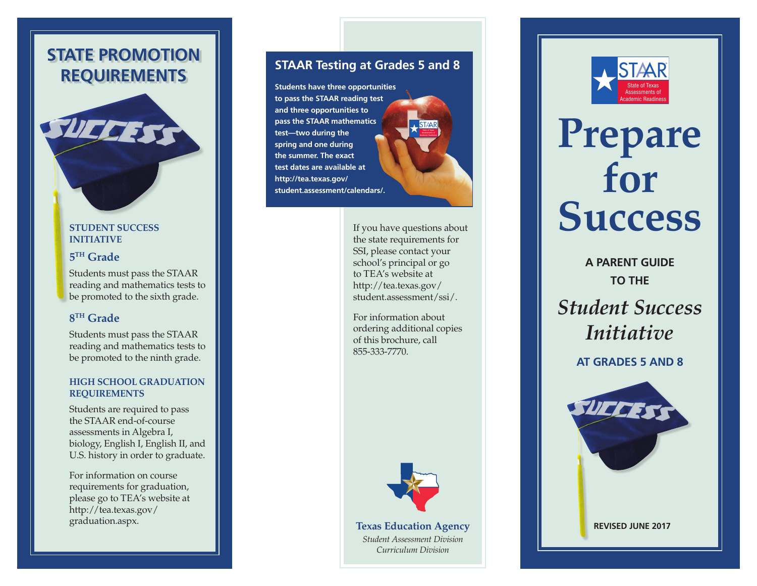### **STATE PROMOTION REQUIREMENTS**

### **STUDENT SUCCESS INITIATIVE 5TH Grade**

Students must pass the STAAR reading and mathematics tests to be promoted to the sixth grade.

### **8TH Grade**

Students must pass the STAAR reading and mathematics tests to be promoted to the ninth grade.

### **HIGH SCHOOL GRADUATION REQUIREMENTS**

Students are required to pass the STAAR end-of-course assessments in Algebra I, biology, English I, English II, and U.S. history in order to graduate.

For information on course requirements for graduation, please go to T EA's website at [http://tea.texas.gov/](http://tea.texas.gov/graduation.aspx)  [graduation.aspx](http://tea.texas.gov/graduation.aspx).

### **STAAR Testing at Grades 5 and 8**

**Students have three opportunities to pass the STAAR reading test and three opportunities to pass the STAAR mathematics test—two during the spring and one during the summer. The exact test dates are available at [http://tea.texas.gov/](http://tea.texas.gov/student.assessment/calendars/)  [student.assessment/calendars/.](http://tea.texas.gov/student.assessment/calendars/)**  Academic Readiness **STAAR** 



State of Texas

For information about ordering additional copies of this brochure, call 855-333-7770.



**Texas Education Agency**  *Student Assessment Division Curriculum Division* 



# **Prepare for Success**

**A PARENT GUIDE TO THE**  *Student Success Initiative* 

**AT GRADES 5 AND 8**